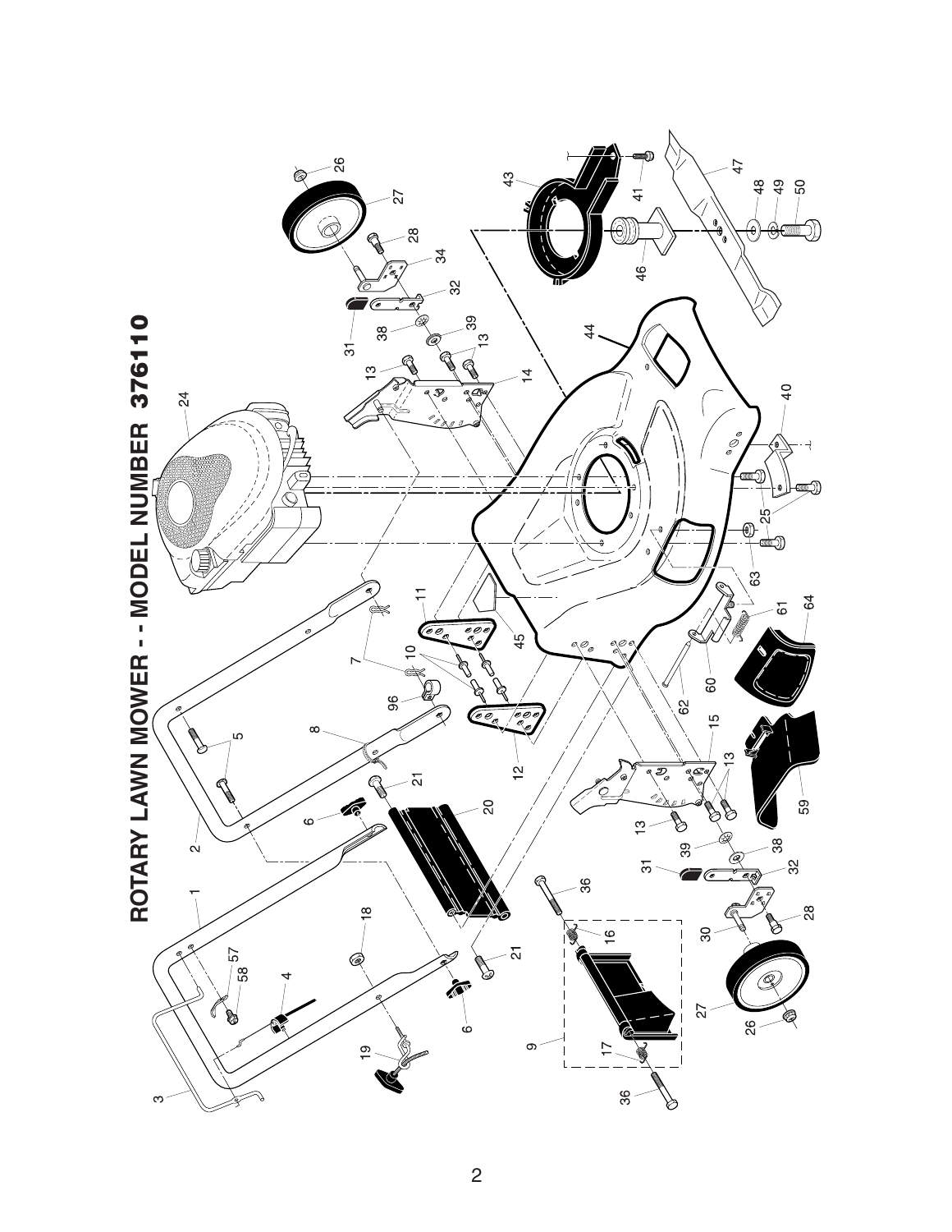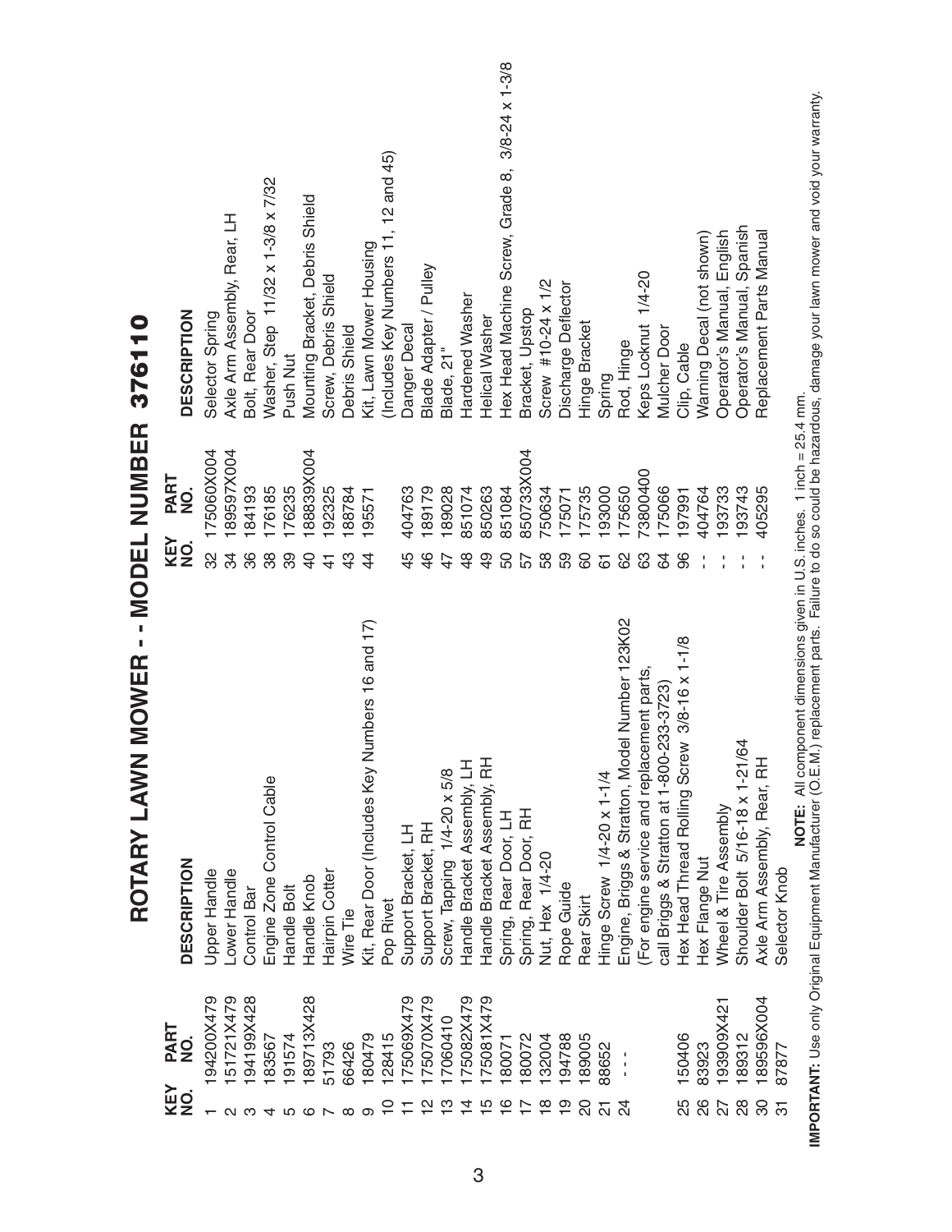| KEY<br>NO.     | PART<br>NO.       | MOWER - - MODEL NUMBER<br>ROTARY LAWN<br><b>DESCRIPTION</b>              | KEY<br>NO.    | PART<br>NO. | <b>DESCRIPTION</b><br>376110                    |
|----------------|-------------------|--------------------------------------------------------------------------|---------------|-------------|-------------------------------------------------|
|                |                   |                                                                          |               |             |                                                 |
|                | 94200X479         | Upper Handle                                                             | 32            | 175060X004  | Selector Spring                                 |
|                | 51721X479         | Lower Handle                                                             | ನೆ            | 89597X004   | Axle Arm Assembly, Rear, LH                     |
|                | 94199X428         | Control Bar                                                              | 36            | 184193      | Bolt, Rear Door                                 |
|                | 183567            | Engine Zone Control Cable                                                | 88            | 176185      | Washer, Step 11/32 x 1-3/8 x 7/32               |
|                | 191574            | Handle Bolt                                                              | 39            | 176235      | Push Nut                                        |
|                | 189713X428        | Handle Knob                                                              | 유             | 88839X004   | Mounting Bracket, Debris Shield                 |
|                | 51793             | Hairpin Cotter                                                           | $\frac{4}{1}$ | 192325      | Screw, Debris Shield                            |
|                | 66426             | Wire Tie                                                                 | $\frac{3}{4}$ | 188784      | Debris Shield                                   |
|                | 180479            | Kit, Rear Door (Includes Key Numbers 16 and 17)                          | 4             | 195571      | Kit, Lawn Mower Housing                         |
|                | 128415            | Pop Rivet                                                                |               |             | (Includes Key Numbers 11, 12 and 45)            |
|                | 175069X479        | Support Bracket, LH                                                      | 45            | 404763      | Danger Decal                                    |
| $\frac{1}{2}$  | 175070X479        | Support Bracket, RH                                                      | $\frac{4}{6}$ | 189179      | Blade Adapter / Pulley                          |
|                | 17060410          | Screw, Tapping 1/4-20 x 5/8                                              | 47            | 189028      | Blade, 21"                                      |
|                | 175082X479        | Handle Bracket Assembly, LH                                              | $\frac{8}{4}$ | 851074      | Hardened Washer                                 |
|                | 175081X479        | Handle Bracket Assembly, RH                                              | $\frac{9}{4}$ | 850263      | Helical Washer                                  |
| $\frac{6}{1}$  | 180071            | Spring, Rear Door, LH                                                    | 50            | 851084      | Hex Head Machine Screw, Grade 8, 3/8-24 x 1-3/8 |
|                | 180072            | Spring, Rear Door, RH                                                    | 57            | 850733X004  | Bracket, Upstop                                 |
|                | 132004            | Nut, Hex 1/4-20                                                          | 58            | 750634      | Screw #10-24 x 1/2                              |
|                | 194788            | Rope Guide                                                               | 59            | 175071      | Discharge Deflector                             |
|                | 189005            | Rear Skirt                                                               | 8             | 175735      | Hinge Bracket                                   |
| 24             | 88652             | Hinge Screw 1/4-20 x 1-1/4                                               | 61            | 193000      | Spring                                          |
| $\frac{5}{4}$  |                   | Engine, Briggs & Stratton, Model Number 123K02                           | 8             | 175650      | Rod, Hinge                                      |
|                |                   | For engine service and replacement parts,                                | යි            | 73800400    | Keps Locknut 1/4-20                             |
|                |                   | call Briggs & Stratton at 1-800-233-3723)                                | 3             | 175066      | Mulcher Door                                    |
| 25             | 150406            | Hex Head Thread Rolling Screw 3/8-16 x 1-1/8                             | 86            | 197991      | Clip, Cable                                     |
| 88             | 83923             | Hex Flange Nut                                                           |               | 404764      | Warning Decal (not shown)                       |
| 22             | ्<br>स<br>193909X | Wheel & Tire Assembly                                                    |               | 193733      | Operator's Manual, English                      |
| 28             | 189312            | Shoulder Bolt 5/16-18 x 1-21/64                                          |               | 193743      | Operator's Manual, Spanish                      |
| 30             | 189596X004        | Axle Arm Assembly, Rear, RH                                              |               | 405295      | Replacement Parts Manual                        |
| $\overline{5}$ | 87877             | Selector Knob                                                            |               |             |                                                 |
|                |                   | NOTE: All component dimensions given in U.S. inches. 1 inch = $25.4$ mm. |               |             |                                                 |

IMPORTANT: Use only Original Equipment Manufacturer (O.E.M.) replacement parts. Failure to do so could be hazardous, damage your lawn mower and void your warranty. **IMPORTANT:** Use only Original Equipment Manufacturer (O.E.M.) replacement parts. Failure to do so could be hazardous, damage your lawn mower and void your warranty. **NOTE:** All component dimensions given in U.S. inches. 1 inch = 25.4 mm.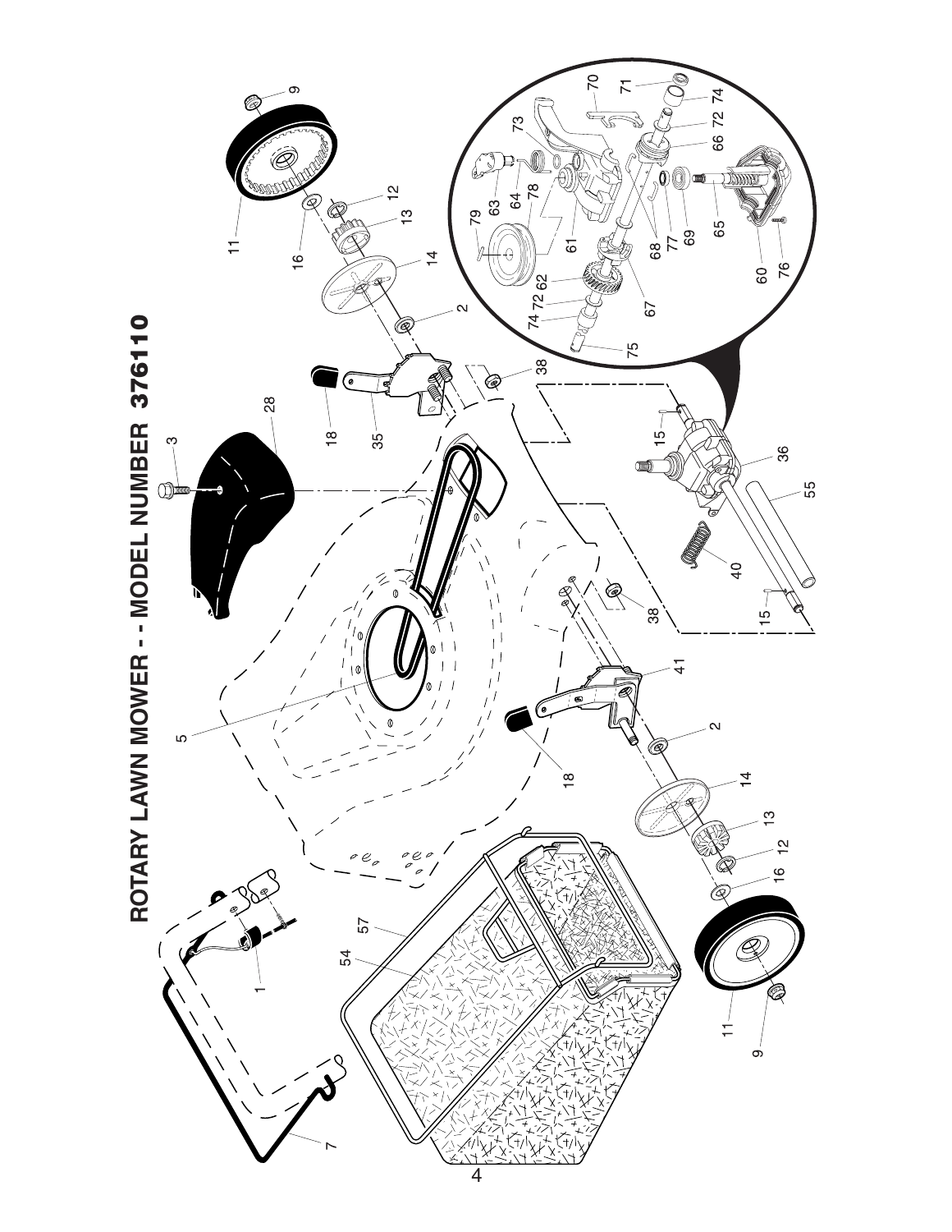